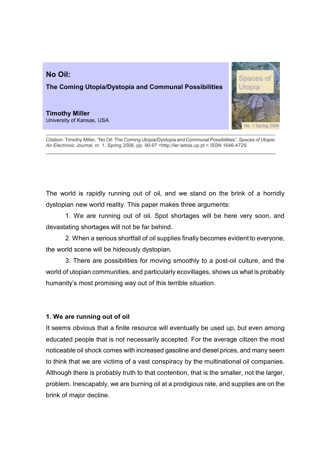# The Coming Utopia/Dystopia and Communal Possibilities

## Timothy Miller

No Oil:

University of Kansas, USA



Citation: Timothy Miller, "No Oil: The Coming Utopia/Dystopia and Communal Possibilities", Spaces of Utopia: An Electronic Journal, nr. 1, Spring 2006, pp. 90-97 <http://ler.letras.up.pt > ISSN 1646-4729.

The world is rapidly running out of oil, and we stand on the brink of a horridly dystopian new world reality. This paper makes three arguments:

1. We are running out of oil. Spot shortages will be here very soon, and devastating shortages will not be far behind.

2. When a serious shortfall of oil supplies finally becomes evident to everyone, the world scene will be hideously dystopian.

3. There are possibilities for moving smoothly to a post-oil culture, and the world of utopian communities, and particularly ecovillages, shows us what is probably humanity's most promising way out of this terrible situation.

### 1. We are running out of oil

It seems obvious that a finite resource will eventually be used up, but even among educated people that is not necessarily accepted. For the average citizen the most noticeable oil shock comes with increased gasoline and diesel prices, and many seem to think that we are victims of a vast conspiracy by the multinational oil companies. Although there is probably truth to that contention, that is the smaller, not the larger, problem. Inescapably, we are burning oil at a prodigious rate, and supplies are on the brink of major decline.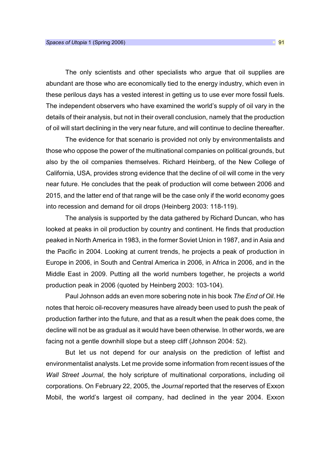The only scientists and other specialists who argue that oil supplies are abundant are those who are economically tied to the energy industry, which even in these perilous days has a vested interest in getting us to use ever more fossil fuels. The independent observers who have examined the world's supply of oil vary in the details of their analysis, but not in their overall conclusion, namely that the production of oil will start declining in the very near future, and will continue to decline thereafter.

The evidence for that scenario is provided not only by environmentalists and those who oppose the power of the multinational companies on political grounds, but also by the oil companies themselves. Richard Heinberg, of the New College of California, USA, provides strong evidence that the decline of oil will come in the very near future. He concludes that the peak of production will come between 2006 and 2015, and the latter end of that range will be the case only if the world economy goes into recession and demand for oil drops (Heinberg 2003: 118-119).

The analysis is supported by the data gathered by Richard Duncan, who has looked at peaks in oil production by country and continent. He finds that production peaked in North America in 1983, in the former Soviet Union in 1987, and in Asia and the Pacific in 2004. Looking at current trends, he projects a peak of production in Europe in 2006, in South and Central America in 2006, in Africa in 2006, and in the Middle East in 2009. Putting all the world numbers together, he projects a world production peak in 2006 (quoted by Heinberg 2003: 103-104).

Paul Johnson adds an even more sobering note in his book The End of Oil. He notes that heroic oil-recovery measures have already been used to push the peak of production farther into the future, and that as a result when the peak does come, the decline will not be as gradual as it would have been otherwise. In other words, we are facing not a gentle downhill slope but a steep cliff (Johnson 2004: 52).

But let us not depend for our analysis on the prediction of leftist and environmentalist analysts. Let me provide some information from recent issues of the Wall Street Journal, the holy scripture of multinational corporations, including oil corporations. On February 22, 2005, the Journal reported that the reserves of Exxon Mobil, the world's largest oil company, had declined in the year 2004. Exxon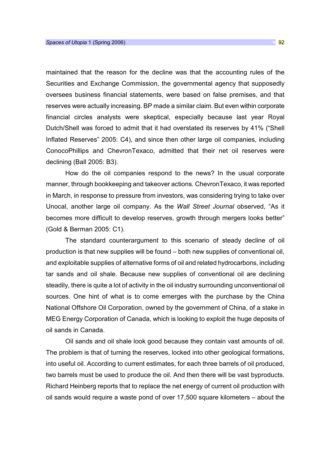maintained that the reason for the decline was that the accounting rules of the Securities and Exchange Commission, the governmental agency that supposedly oversees business financial statements, were based on false premises, and that reserves were actually increasing. BP made a similar claim. But even within corporate financial circles analysts were skeptical, especially because last year Royal Dutch/Shell was forced to admit that it had overstated its reserves by 41% ("Shell Inflated Reserves" 2005: C4), and since then other large oil companies, including ConocoPhillips and ChevronTexaco, admitted that their net oil reserves were declining (Ball 2005: B3).

How do the oil companies respond to the news? In the usual corporate manner, through bookkeeping and takeover actions. ChevronTexaco, it was reported in March, in response to pressure from investors, was considering trying to take over Unocal, another large oil company. As the Wall Street Journal observed, "As it becomes more difficult to develop reserves, growth through mergers looks better" (Gold & Berman 2005: C1).

The standard counterargument to this scenario of steady decline of oil production is that new supplies will be found – both new supplies of conventional oil, and exploitable supplies of alternative forms of oil and related hydrocarbons, including tar sands and oil shale. Because new supplies of conventional oil are declining steadily, there is quite a lot of activity in the oil industry surrounding unconventional oil sources. One hint of what is to come emerges with the purchase by the China National Offshore Oil Corporation, owned by the government of China, of a stake in MEG Energy Corporation of Canada, which is looking to exploit the huge deposits of oil sands in Canada.

Oil sands and oil shale look good because they contain vast amounts of oil. The problem is that of turning the reserves, locked into other geological formations, into useful oil. According to current estimates, for each three barrels of oil produced, two barrels must be used to produce the oil. And then there will be vast byproducts. Richard Heinberg reports that to replace the net energy of current oil production with oil sands would require a waste pond of over 17,500 square kilometers – about the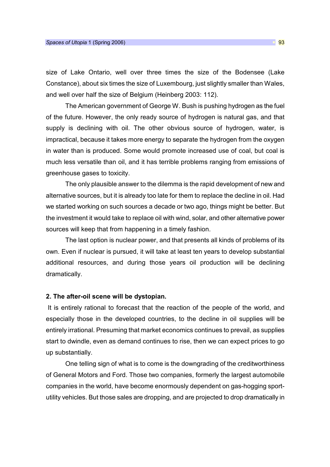size of Lake Ontario, well over three times the size of the Bodensee (Lake Constance), about six times the size of Luxembourg, just slightly smaller than Wales, and well over half the size of Belgium (Heinberg 2003: 112).

The American government of George W. Bush is pushing hydrogen as the fuel of the future. However, the only ready source of hydrogen is natural gas, and that supply is declining with oil. The other obvious source of hydrogen, water, is impractical, because it takes more energy to separate the hydrogen from the oxygen in water than is produced. Some would promote increased use of coal, but coal is much less versatile than oil, and it has terrible problems ranging from emissions of greenhouse gases to toxicity.

The only plausible answer to the dilemma is the rapid development of new and alternative sources, but it is already too late for them to replace the decline in oil. Had we started working on such sources a decade or two ago, things might be better. But the investment it would take to replace oil with wind, solar, and other alternative power sources will keep that from happening in a timely fashion.

The last option is nuclear power, and that presents all kinds of problems of its own. Even if nuclear is pursued, it will take at least ten years to develop substantial additional resources, and during those years oil production will be declining dramatically.

#### 2. The after-oil scene will be dystopian.

 It is entirely rational to forecast that the reaction of the people of the world, and especially those in the developed countries, to the decline in oil supplies will be entirely irrational. Presuming that market economics continues to prevail, as supplies start to dwindle, even as demand continues to rise, then we can expect prices to go up substantially.

One telling sign of what is to come is the downgrading of the creditworthiness of General Motors and Ford. Those two companies, formerly the largest automobile companies in the world, have become enormously dependent on gas-hogging sportutility vehicles. But those sales are dropping, and are projected to drop dramatically in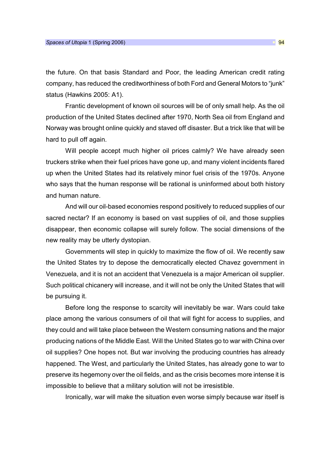the future. On that basis Standard and Poor, the leading American credit rating company, has reduced the creditworthiness of both Ford and General Motors to "junk" status (Hawkins 2005: A1).

Frantic development of known oil sources will be of only small help. As the oil production of the United States declined after 1970, North Sea oil from England and Norway was brought online quickly and staved off disaster. But a trick like that will be hard to pull off again.

Will people accept much higher oil prices calmly? We have already seen truckers strike when their fuel prices have gone up, and many violent incidents flared up when the United States had its relatively minor fuel crisis of the 1970s. Anyone who says that the human response will be rational is uninformed about both history and human nature.

And will our oil-based economies respond positively to reduced supplies of our sacred nectar? If an economy is based on vast supplies of oil, and those supplies disappear, then economic collapse will surely follow. The social dimensions of the new reality may be utterly dystopian.

Governments will step in quickly to maximize the flow of oil. We recently saw the United States try to depose the democratically elected Chavez government in Venezuela, and it is not an accident that Venezuela is a major American oil supplier. Such political chicanery will increase, and it will not be only the United States that will be pursuing it.

Before long the response to scarcity will inevitably be war. Wars could take place among the various consumers of oil that will fight for access to supplies, and they could and will take place between the Western consuming nations and the major producing nations of the Middle East. Will the United States go to war with China over oil supplies? One hopes not. But war involving the producing countries has already happened. The West, and particularly the United States, has already gone to war to preserve its hegemony over the oil fields, and as the crisis becomes more intense it is impossible to believe that a military solution will not be irresistible.

Ironically, war will make the situation even worse simply because war itself is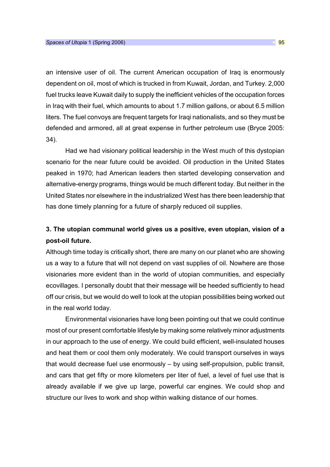an intensive user of oil. The current American occupation of Iraq is enormously dependent on oil, most of which is trucked in from Kuwait, Jordan, and Turkey. 2,000 fuel trucks leave Kuwait daily to supply the inefficient vehicles of the occupation forces in Iraq with their fuel, which amounts to about 1.7 million gallons, or about 6.5 million liters. The fuel convoys are frequent targets for Iraqi nationalists, and so they must be defended and armored, all at great expense in further petroleum use (Bryce 2005: 34).

Had we had visionary political leadership in the West much of this dystopian scenario for the near future could be avoided. Oil production in the United States peaked in 1970; had American leaders then started developing conservation and alternative-energy programs, things would be much different today. But neither in the United States nor elsewhere in the industrialized West has there been leadership that has done timely planning for a future of sharply reduced oil supplies.

## 3. The utopian communal world gives us a positive, even utopian, vision of a post-oil future.

Although time today is critically short, there are many on our planet who are showing us a way to a future that will not depend on vast supplies of oil. Nowhere are those visionaries more evident than in the world of utopian communities, and especially ecovillages. I personally doubt that their message will be heeded sufficiently to head off our crisis, but we would do well to look at the utopian possibilities being worked out in the real world today.

Environmental visionaries have long been pointing out that we could continue most of our present comfortable lifestyle by making some relatively minor adjustments in our approach to the use of energy. We could build efficient, well-insulated houses and heat them or cool them only moderately. We could transport ourselves in ways that would decrease fuel use enormously – by using self-propulsion, public transit, and cars that get fifty or more kilometers per liter of fuel, a level of fuel use that is already available if we give up large, powerful car engines. We could shop and structure our lives to work and shop within walking distance of our homes.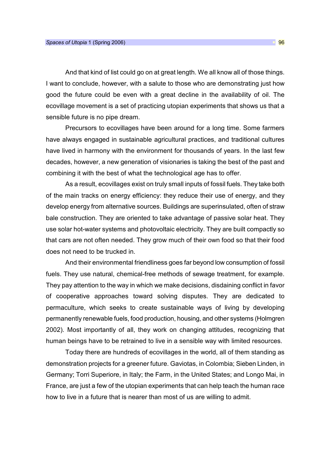And that kind of list could go on at great length. We all know all of those things. I want to conclude, however, with a salute to those who are demonstrating just how good the future could be even with a great decline in the availability of oil. The ecovillage movement is a set of practicing utopian experiments that shows us that a sensible future is no pipe dream.

Precursors to ecovillages have been around for a long time. Some farmers have always engaged in sustainable agricultural practices, and traditional cultures have lived in harmony with the environment for thousands of years. In the last few decades, however, a new generation of visionaries is taking the best of the past and combining it with the best of what the technological age has to offer.

As a result, ecovillages exist on truly small inputs of fossil fuels. They take both of the main tracks on energy efficiency: they reduce their use of energy, and they develop energy from alternative sources. Buildings are superinsulated, often of straw bale construction. They are oriented to take advantage of passive solar heat. They use solar hot-water systems and photovoltaic electricity. They are built compactly so that cars are not often needed. They grow much of their own food so that their food does not need to be trucked in.

And their environmental friendliness goes far beyond low consumption of fossil fuels. They use natural, chemical-free methods of sewage treatment, for example. They pay attention to the way in which we make decisions, disdaining conflict in favor of cooperative approaches toward solving disputes. They are dedicated to permaculture, which seeks to create sustainable ways of living by developing permanently renewable fuels, food production, housing, and other systems (Holmgren 2002). Most importantly of all, they work on changing attitudes, recognizing that human beings have to be retrained to live in a sensible way with limited resources.

Today there are hundreds of ecovillages in the world, all of them standing as demonstration projects for a greener future. Gaviotas, in Colombia; Sieben Linden, in Germany; Torri Superiore, in Italy; the Farm, in the United States; and Longo Mai, in France, are just a few of the utopian experiments that can help teach the human race how to live in a future that is nearer than most of us are willing to admit.